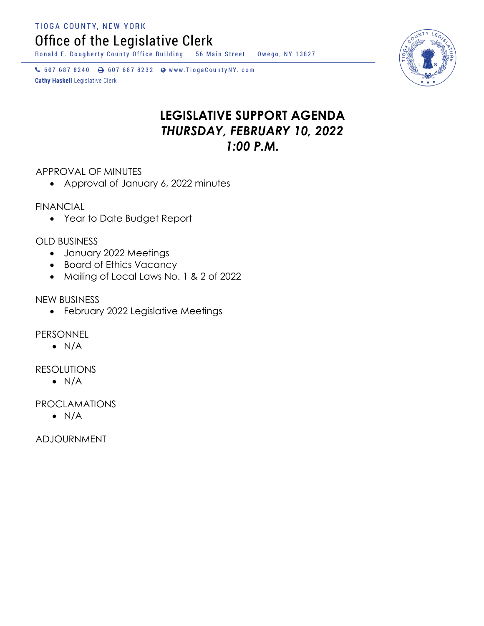TIOGA COUNTY, NEW YORK

Office of the Legislative Clerk

Ronald E. Dougherty County Office Building 56 Main Street Owego, NY 13827

↓ 607 687 8240 → 607 687 8232 → www.TiogaCountyNY.com **Cathy Haskell Legislative Clerk** 

# **LEGISLATIVE SUPPORT AGENDA** *THURSDAY, FEBRUARY 10, 2022 1:00 P.M.*

APPROVAL OF MINUTES

Approval of January 6, 2022 minutes

**FINANCIAL** 

Year to Date Budget Report

OLD BUSINESS

- January 2022 Meetings
- Board of Ethics Vacancy
- Mailing of Local Laws No. 1 & 2 of 2022

NEW BUSINESS

February 2022 Legislative Meetings

PERSONNEL

 $\bullet$  N/A

**RESOLUTIONS** 

 $\bullet$  N/A

PROCLAMATIONS

 $\bullet$  N/A

ADJOURNMENT

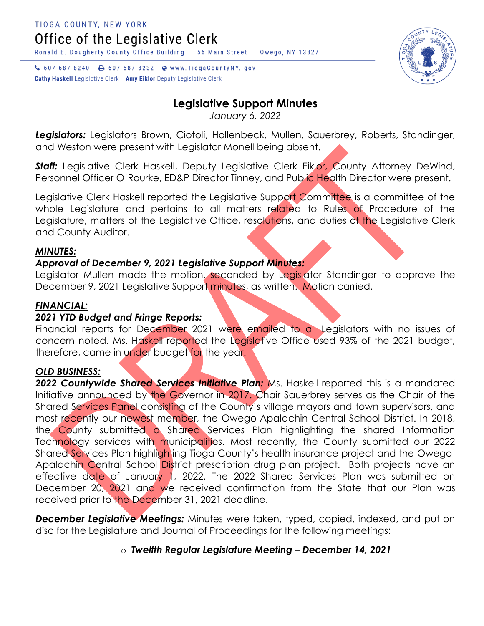TIOGA COUNTY, NEW YORK Office of the Legislative Clerk

Ronald E. Dougherty County Office Building

↓ 607 687 8240 → 607 687 8232 ● www.TiogaCountyNY.gov **Cathy Haskell** Legislative Clerk Amy Eiklor Deputy Legislative Clerk

## **Legislative Support Minutes**

*January 6, 2022*

*Legislators:* Legislators Brown, Ciotoli, Hollenbeck, Mullen, Sauerbrey, Roberts, Standinger, and Weston were present with Legislator Monell being absent.

**Staff:** Legislative Clerk Haskell, Deputy Legislative Clerk Eiklor, County Attorney DeWind, Personnel Officer O'Rourke, ED&P Director Tinney, and Public Health Director were present.

Legislative Clerk Haskell reported the Legislative Support Committee is a committee of the whole Legislature and pertains to all matters related to Rules of Procedure of the Legislature, matters of the Legislative Office, resolutions, and duties of the Legislative Clerk and County Auditor.

## *MINUTES:*

## *Approval of December 9, 2021 Legislative Support Minutes:*

Legislator Mullen made the motion, seconded by Legislator Standinger to approve the December 9, 2021 Legislative Support minutes, as written. Motion carried.

## *FINANCIAL:*

## *2021 YTD Budget and Fringe Reports:*

Financial reports for December 2021 were emailed to all Legislators with no issues of concern noted. Ms. Haskell reported the Legislative Office used 93% of the 2021 budget, therefore, came in under budget for the year.

#### *OLD BUSINESS:*

*2022 Countywide Shared Services Initiative Plan:* Ms. Haskell reported this is a mandated Initiative announced by the Governor in 2017. Chair Sauerbrey serves as the Chair of the Shared Services Panel consisting of the County's village mayors and town supervisors, and most recently our newest member, the Owego-Apalachin Central School District. In 2018, the County submitted a Shared Services Plan highlighting the shared Information Technology services with municipalities. Most recently, the County submitted our 2022 Shared Services Plan highlighting Tioga County's health insurance project and the Owego-Apalachin Central School District prescription drug plan project. Both projects have an effective date of January 1, 2022. The 2022 Shared Services Plan was submitted on December 20, 2021 and we received confirmation from the State that our Plan was received prior to the December 31, 2021 deadline.

*December Legislative Meetings:* Minutes were taken, typed, copied, indexed, and put on disc for the Legislature and Journal of Proceedings for the following meetings:

## o *Twelfth Regular Legislature Meeting – December 14, 2021*



56 Main Street Owego, NY 13827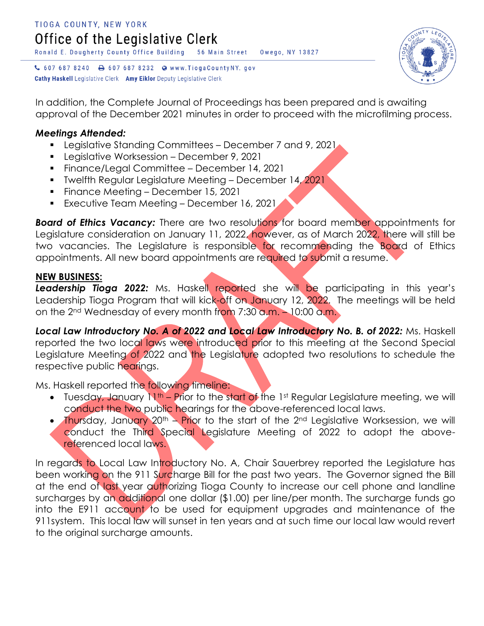

In addition, the Complete Journal of Proceedings has been prepared and is awaiting approval of the December 2021 minutes in order to proceed with the microfilming process.

## *Meetings Attended:*

- Legislative Standing Committees December 7 and 9, 2021
- **Legislative Worksession December 9, 2021**
- Finance/Legal Committee December 14, 2021
- **Twelfth Regular Legislature Meeting December 14, 2021**
- **Finance Meeting December 15, 2021**

**Cathy Haskell** Legislative Clerk Amy Eiklor Deputy Legislative Clerk

**Executive Team Meeting – December 16, 2021** 

**Board of Ethics Vacancy:** There are two resolutions for board member appointments for Legislature consideration on January 11, 2022, however, as of March 2022, there will still be two vacancies. The Legislature is responsible for recommending the Board of Ethics appointments. All new board appointments are required to submit a resume.

## **NEW BUSINESS:**

**Leadership Tioga 2022:** Ms. Haskell reported she will be participating in this year's Leadership Tioga Program that will kick-off on January 12, 2022. The meetings will be held on the 2<sup>nd</sup> Wednesday of every month from 7:30 a.m. – 10:00 a.m.

Local Law Introductory No. A of 2022 and Local Law Introductory No. B. of 2022: Ms. Haskell reported the two local laws were introduced prior to this meeting at the Second Special Legislature Meeting of 2022 and the Legislature adopted two resolutions to schedule the respective public hearings.

Ms. Haskell reported the following timeline:

- Tuesday, January  $N^{th}$  Prior to the start of the 1st Regular Legislature meeting, we will conduct the two public hearings for the above-referenced local laws.
- Thursday, January 20<sup>th</sup> Prior to the start of the 2<sup>nd</sup> Legislative Worksession, we will conduct the Third Special Legislature Meeting of 2022 to adopt the abovereferenced local laws.

In regards to Local Law Introductory No. A, Chair Sauerbrey reported the Legislature has been working on the 911 Surcharge Bill for the past two years. The Governor signed the Bill at the end of last year authorizing Tioga County to increase our cell phone and landline surcharges by an additional one dollar (\$1.00) per line/per month. The surcharge funds go into the E911 account to be used for equipment upgrades and maintenance of the 911system. This local law will sunset in ten years and at such time our local law would revert to the original surcharge amounts.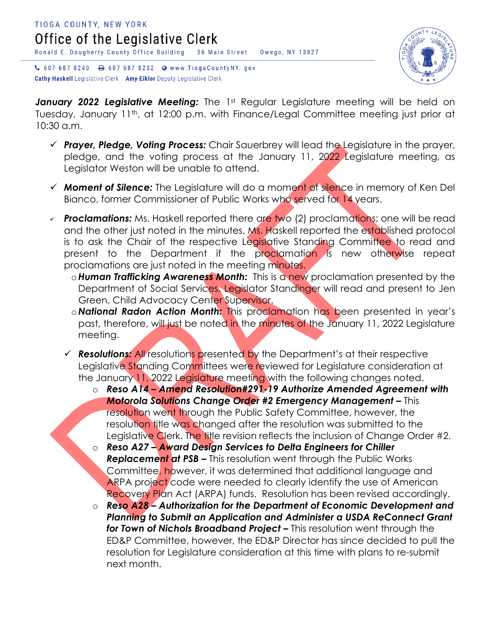

↓ 607 687 8240 → 607 687 8232 ● www.TiogaCountyNY.gov **Cathy Haskell** Legislative Clerk Amy Eiklor Deputy Legislative Clerk

January 2022 Legislative Meeting: The 1st Regular Legislature meeting will be held on Tuesday, January 11<sup>th</sup>, at 12:00 p.m. with Finance/Legal Committee meeting just prior at 10:30 a.m.

- *Prayer, Pledge, Voting Process:* Chair Sauerbrey will lead the Legislature in the prayer, pledge, and the voting process at the January 11, 2022 Legislature meeting, as Legislator Weston will be unable to attend.
- *Moment of Silence:* The Legislature will do a moment of silence in memory of Ken Del Bianco, former Commissioner of Public Works who served for 14 years.
- *Proclamations:* Ms. Haskell reported there are two (2) proclamations; one will be read and the other just noted in the minutes. Ms. Haskell reported the established protocol is to ask the Chair of the respective Legislative Standing Committee to read and present to the Department if the proclamation is new otherwise repeat proclamations are just noted in the meeting minutes.
	- o*Human Trafficking Awareness Month:* This is a new proclamation presented by the Department of Social Services. Legislator Standinger will read and present to Jen Green, Child Advocacy Center Supervisor.
	- o *National Radon Action Month:* This proclamation has been presented in year's past, therefore, will just be noted in the minutes of the January 11, 2022 Legislature meeting.
	- *Resolutions:* All resolutions presented by the Department's at their respective Legislative Standing Committees were reviewed for Legislature consideration at the January 11, 2022 Legislature meeting with the following changes noted.
		- o *Reso A14 – Amend Resolution#291-19 Authorize Amended Agreement with*  **Motorola Solutions Change Order #2 Emergency Management - This** resolution went through the Public Safety Committee, however, the resolution title was changed after the resolution was submitted to the Legislative Clerk. The title revision reflects the inclusion of Change Order #2.
		- o *Reso A27 – Award Design Services to Delta Engineers for Chiller Replacement at PSB –* This resolution went through the Public Works Committee, however, it was determined that additional language and ARPA project code were needed to clearly identify the use of American Recovery Plan Act (ARPA) funds. Resolution has been revised accordingly.
		- o *Reso A28 – Authorization for the Department of Economic Development and Planning to Submit an Application and Administer a USDA ReConnect Grant for Town of Nichols Broadband Project –* This resolution went through the ED&P Committee, however, the ED&P Director has since decided to pull the resolution for Legislature consideration at this time with plans to re-submit next month.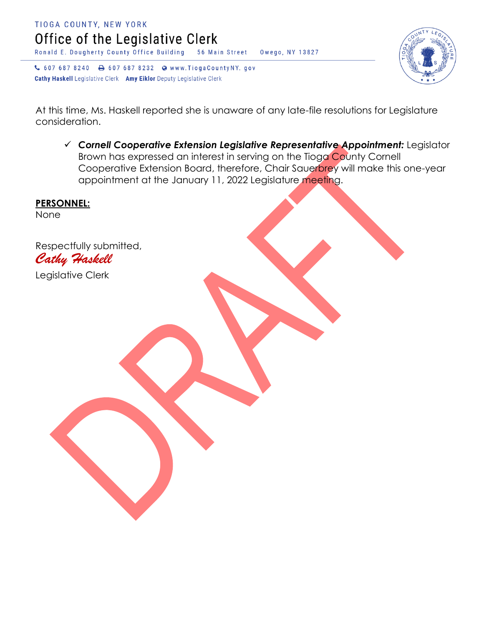



At this time, Ms. Haskell reported she is unaware of any late-file resolutions for Legislature consideration.

 *Cornell Cooperative Extension Legislative Representative Appointment:* Legislator Brown has expressed an interest in serving on the Tioga County Cornell Cooperative Extension Board, therefore, Chair Sauerbrey will make this one-year appointment at the January 11, 2022 Legislature meeting.

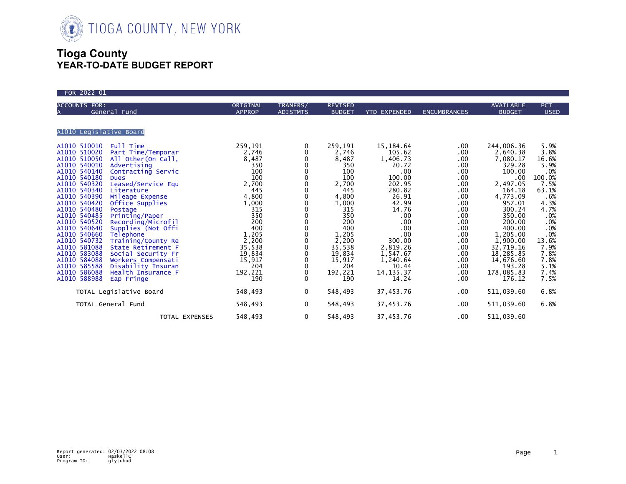

## **Tioga County YEAR-TO-DATE BUDGET REPORT**

| FOR 2022 01                                                                                                                                                                                                                                                                                                                                                                                                                                                                                                                                                                                                                                                                                                                                                                                                                                   |                                                                                                                                                                                                             |                                                                                                                                                                                                                                       |                                                                                                                                                                                                             |                                                                                                                                                                                                                                               |                                                                                                                                                                         |                                                                                                                                                                                                                                                                                     |                                                                                                                                                                                             |
|-----------------------------------------------------------------------------------------------------------------------------------------------------------------------------------------------------------------------------------------------------------------------------------------------------------------------------------------------------------------------------------------------------------------------------------------------------------------------------------------------------------------------------------------------------------------------------------------------------------------------------------------------------------------------------------------------------------------------------------------------------------------------------------------------------------------------------------------------|-------------------------------------------------------------------------------------------------------------------------------------------------------------------------------------------------------------|---------------------------------------------------------------------------------------------------------------------------------------------------------------------------------------------------------------------------------------|-------------------------------------------------------------------------------------------------------------------------------------------------------------------------------------------------------------|-----------------------------------------------------------------------------------------------------------------------------------------------------------------------------------------------------------------------------------------------|-------------------------------------------------------------------------------------------------------------------------------------------------------------------------|-------------------------------------------------------------------------------------------------------------------------------------------------------------------------------------------------------------------------------------------------------------------------------------|---------------------------------------------------------------------------------------------------------------------------------------------------------------------------------------------|
| <b>ACCOUNTS FOR:</b><br>General Fund                                                                                                                                                                                                                                                                                                                                                                                                                                                                                                                                                                                                                                                                                                                                                                                                          | ORIGINAL<br><b>APPROP</b>                                                                                                                                                                                   | TRANFRS/<br><b>ADJSTMTS</b>                                                                                                                                                                                                           | <b>REVISED</b><br><b>BUDGET</b>                                                                                                                                                                             | <b>YTD EXPENDED</b>                                                                                                                                                                                                                           | <b>ENCUMBRANCES</b>                                                                                                                                                     | AVAILABLE<br><b>BUDGET</b>                                                                                                                                                                                                                                                          | <b>PCT</b><br><b>USED</b>                                                                                                                                                                   |
| A1010 Legislative Board                                                                                                                                                                                                                                                                                                                                                                                                                                                                                                                                                                                                                                                                                                                                                                                                                       |                                                                                                                                                                                                             |                                                                                                                                                                                                                                       |                                                                                                                                                                                                             |                                                                                                                                                                                                                                               |                                                                                                                                                                         |                                                                                                                                                                                                                                                                                     |                                                                                                                                                                                             |
| A1010 510010<br>Full Time<br>A1010 510020<br>Part Time/Temporar<br>A1010 510050<br>All Other (On Call,<br>A1010 540010<br>Advertising<br>A1010 540140<br>Contracting Servic<br>A1010 540180<br><b>Dues</b><br>A1010 540320<br>Leased/Service Equ<br>A1010 540340<br>Literature<br>A1010 540390<br>Mileage Expense<br>A1010 540420<br>Office Supplies<br>A1010 540480<br>Postage<br>A1010 540485<br>Printing/Paper<br>A1010 540520<br>Recording/Microfil<br>A1010 540640<br>Supplies (Not Offi<br>A1010 540660<br>Telephone<br>A1010 540732<br>Training/County Re<br>A1010 581088<br>State Retirement F<br>A1010 583088<br>Social Security Fr<br>A1010 584088<br>Workers Compensati<br>A1010 585588<br>Disability Insuran<br>A1010 586088<br>Health Insurance F<br>A1010 588988<br>Eap Fringe<br>TOTAL Legislative Board<br>TOTAL General Fund | 259,191<br>2,746<br>8,487<br>350<br>100<br>100<br>2,700<br>445<br>4,800<br>1,000<br>315<br>350<br>200<br>400<br>1,205<br>2,200<br>35,538<br>19,834<br>15,917<br>204<br>192,221<br>190<br>548,493<br>548,493 | 0<br>0<br>0<br>0<br>0<br>0<br>$\mathbf 0$<br>0<br>0<br>0<br>0<br>0<br>$\mathbf 0$<br>$\mathbf 0$<br>$\mathbf 0$<br>$\mathbf{0}$<br>$\mathbf{0}$<br>0<br>$\mathbf{0}$<br>$\mathbf{0}$<br>$\mathbf{0}$<br>$\Omega$<br>$\mathbf{0}$<br>0 | 259,191<br>2,746<br>8,487<br>350<br>100<br>100<br>2,700<br>445<br>4,800<br>1,000<br>315<br>350<br>200<br>400<br>1,205<br>2,200<br>35,538<br>19,834<br>15,917<br>204<br>192,221<br>190<br>548,493<br>548,493 | 15,184.64<br>105.62<br>1,406.73<br>20.72<br>.00<br>100.00<br>202.95<br>280.82<br>26.91<br>42.99<br>14.76<br>.00<br>.00<br>.00<br>.00<br>300.00<br>2,819.26<br>1,547.67<br>1,240.64<br>10.44<br>14, 135. 37<br>14.24<br>37,453.76<br>37,453.76 | .00<br>.00<br>.00<br>.00<br>.00.<br>.00<br>.00<br>.00<br>.00<br>.00<br>.00.<br>.00<br>.00<br>.00<br>.00<br>.00<br>.00<br>.00<br>.00<br>.00<br>.00<br>.00<br>.00.<br>.00 | 244,006.36<br>2,640.38<br>7,080.17<br>329.28<br>100.00<br>$.00 \,$<br>2,497.05<br>164.18<br>4,773.09<br>957.01<br>300.24<br>350.00<br>200.00<br>400.00<br>1,205.00<br>1,900.00<br>32,719.16<br>18,285.85<br>14,676.60<br>193.28<br>178,085.83<br>176.12<br>511,039.60<br>511,039.60 | 5.9%<br>3.8%<br>16.6%<br>5.9%<br>.0%<br>100.0%<br>7.5%<br>63.1%<br>.6%<br>4.3%<br>4.7%<br>.0%<br>.0%<br>.0%<br>.0%<br>13.6%<br>7.9%<br>7.8%<br>7.8%<br>5.1%<br>7.4%<br>7.5%<br>6.8%<br>6.8% |
| TOTAL EXPENSES                                                                                                                                                                                                                                                                                                                                                                                                                                                                                                                                                                                                                                                                                                                                                                                                                                | 548,493                                                                                                                                                                                                     | 0                                                                                                                                                                                                                                     | 548,493                                                                                                                                                                                                     | 37,453.76                                                                                                                                                                                                                                     | .00                                                                                                                                                                     | 511,039.60                                                                                                                                                                                                                                                                          |                                                                                                                                                                                             |